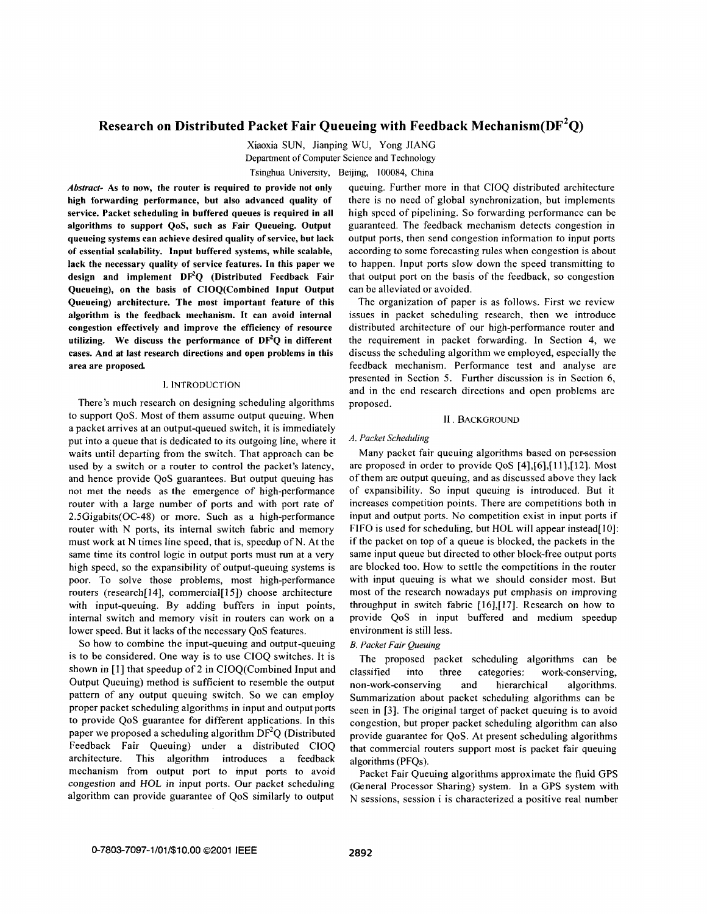# **Research on Distributed Packet Fair Queueing with Feedback Mechanism(DF\*Q)**

Xiaoxia SUN, Jianping WU, Yong JIANG Department **of** Computer Science and Technology Tsinghua University, Beijing, 100084, China

*Abstruct-* **As to now, the router is required to provide not only high forwarding performance, but also advanced quality of service. Packet scheduling in buffered queues is required in all algorithms to support QoS, such as Fair Queueing. Output queueing systems can achieve desired quality of service, but lack of essential scalability. Input buffered systems, while scalable, lack the necessary quality of service features. In this paper we design and implement DPQ (Distributed Feedback Fair Queueing), on the basis of CIOQ(Combined Input Output Queueing) architecture. The most important feature of this algorithm is the feedback mechanism. It can avoid internal congestion effectively and improve the efficiency of resource**  utilizing. We discuss the performance of DF<sup>2</sup>Q in different **cases. And at last research directions and open problems in this area are proposed** 

# **1.** INTRODUCTION

There's much research on designing scheduling algorithms to support QoS. Most of them assume output queuing. When a packet arrives at an output-queued switch, it is immediately put into a queue that is dedicated to its outgoing line, where it waits until departing from the switch. That approach can be used by a switch **or** a router to control the packet's latency, and hence provide QoS guarantees. But output queuing has not met the needs as **the** emergence of high-performance router with a large number of ports and with port rate of 2.5Gigabits(OC-48) **or** more. Such as a high-performance router with N ports, its internal switch fabric and memory must work at N times line speed, that is, speedup of N. At the same time its control logic in output ports must run at a very high speed, so the expansibility of output-queuing systems is poor. To solve those problems, most high-performance routers (research[ **141,** commercial[ **151)** choose architecture with input-queuing. By adding buffers in input points, internal switch and memory visit in routers can work on a lower speed. But it lacks of the necessary QoS features.

*So* how to combine the input-queuing and output-queuing is to be considered. One way is to use CIOQ switches. It is shown in [I] that speedup of **2** in ClOQ(Combined Input and Output Queuing) method is sufficient to resemble the output pattern of any output queuing switch. *So* we can employ proper packet scheduling algorithms in input and output ports to provide QoS guarantee for different applications. In this paper we proposed a scheduling algorithm  $DF<sup>2</sup>Q$  (Distributed Feedback Fair Queuing) under a distributed CIOQ architecture. This algorithm introduces a feedback mechanism from output port to input ports to avoid congestion and HOL in input ports. **Our** packet scheduling algorithm can provide guarantee of QoS similarly to output

queuing. Further more in that CIOQ distributed architecture there is no need of global synchronization, but implements high speed of pipelining. *So* forwarding performance can be guaranteed. The feedback mechanism detects congestion in output ports, then send congestion information to input ports according **to** some forecasting rules when congestion is about to happen. Input ports slow down the speed transmitting to that output port on the basis of the feedback, so congestion can be alleviated or avoided.

The organization of paper is as follows. First we review issues in packet scheduling research, then we introduce distributed architecture of **our** high-performance router and the requirement in packet forwarding. In Section 4, we discuss the scheduling algorithm we employed, especially the feedback mechanism. Performance test and analyse are presented in Section *5.* Further discussion is in Section 6, and in the end research directions and open problems are proposed.

#### **II. BACKGROUND**

# *A. Packet ScheduIing*

Many packet fair queuing algorithms based on persession are proposed in order to provide *QoS* [4],[6],[11],[12]. Most of them are output queuing, and as discussed above they lack of expansibility. *So* input queuing is introduced. But it increases competition points. There are competitions both in input and output ports. No competition exist in input ports if FIFO is used for scheduling, but HOL will appear instead[10]: if the packet on top of a queue is blocked, the packets in the same input queue but directed to other block-free output ports are blocked too. How to settle the competitions in the router with input queuing is what we should consider most. But most of the research nowadays put emphasis on improving throughput in switch fabric [16],[17]. Research on how to provide *QoS* in input buffered and medium speedup environment is still less.

# *B. Packet Fair Queuing*

The proposed packet scheduling algorithms can be classified into three categories: work-conserving, non-work-conserving and hierarchical algorithms. Summarization about packet scheduling algorithms can be seen in **[3].** The original target of packet queuing is to avoid congestion, but proper packet scheduling algorithm can also provide guarantee for QoS. At present scheduling algorithms that commercial routers support most is packet fair queuing algorithms (PFQs).

Packet Fair Queuing algorithms approximate the fluid GPS (General Processor Sharing) system. In a GPS system with N sessions, session i is characterized a positive real number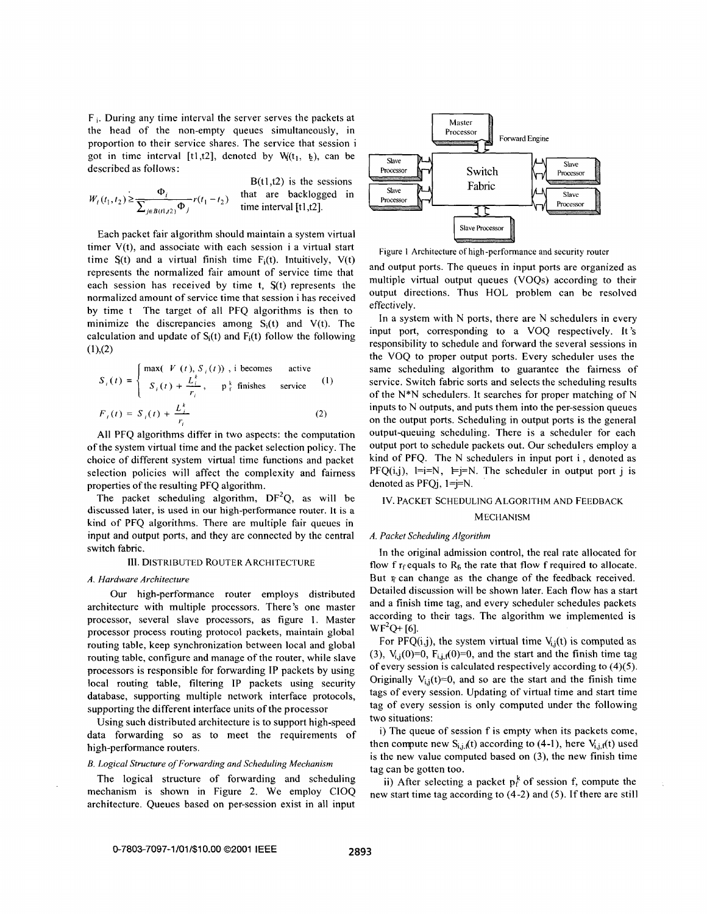F **i.** During any time interval the server serves the packets at the head of the non-empty queues simultaneously, in proportion to their service shares. The service that session i got in time interval [t1,t2], denoted by  $W(t_1, t_1)$ , can be described as follows:

$$
W_i(t_1, t_2) \ge \frac{\Phi_i}{\sum_{j \in B(t_1, t_2)} \Phi_j} r(t_1 - t_2)
$$
 that are backlogged in time interval [t1, t2].

Each packet fair algorithm should maintain a system virtual timer V(t), and associate with each session i a virtual start time  $S(t)$  and a virtual finish time  $F<sub>i</sub>(t)$ . Intuitively,  $V(t)$ represents the normalized fair amount of service time that each session has received by time t, S(t) represents the normalized amount of service time that session i has received by time t The target of all PFQ algorithms is then to minimize the discrepancies among  $S_i(t)$  and  $V(t)$ . The calculation and update of  $S_i(t)$  and  $F_i(t)$  follow the following  $(1)$ , $(2)$ 

$$
S_i(t) = \begin{cases} \max(-V(t), S_i(t)), \text{ i becomes active} \\ S_i(t) + \frac{L_i^k}{r_i}, \quad \text{ p }^k_i \text{ finishes service} \end{cases}
$$
 (1)  

$$
F_i(t) = S_i(t) + \frac{L_i^k}{r_i}
$$
 (2)

All PFQ algorithms differ in two aspects: the computation of the system virtual time and the packet selection policy. The choice of different system virtual time functions and packet selection policies will affect the complexity and fairness properties of the resulting PFQ algorithm.

The packet scheduling algorithm,  $DF^2Q$ , as will be discussed later, is used in our high-performance router. It is **a**  kind of PFQ algorithms. There are multiple fair queues in input and output ports, and they are connected by the central switch fabric.

## **111.** DISTRIBUTED ROUTER ARCHITECTURE

## *A, Hardware Architecture*

Our high-performance router employs distributed architecture with multiple processors. There's one master processor, several slave processors, as figure 1. Master processor process routing protocol packets, maintain global routing table, keep synchronization between local and global routing table, configure and manage of the router, while slave processors is responsible for forwarding IP packets by using local routing table, filtering IP packets using security database, supporting multiple network interface protocols, supporting the different interface units of the processor

Using such distributed architecture is to support high-speed data forwarding *so* as to meet the requirements of high-performance routers.

#### *B. Logical Structure of Forwarding and Scheduling Mechanism*

The logical structure of forwarding and scheduling mechanism is shown in [Figure 2.](#page-2-0) We employ CIOQ architecture. Queues based on per-session exist in all input



Figure 1 Architecture of high-performance and security router

and output ports. The queues in input ports are organized as multiple virtual output queues (VOQs) according to their output directions. Thus HOL problem can be resolved effectively.

In a system with N ports, there are N schedulers in every input port, corresponding to a VOQ respectively. It's responsibility to schedule and forward the several sessions in the VOQ to proper output ports. Every scheduler uses the same scheduling algorithm to guarantee the fairness of service. Switch fabric sorts and selects the scheduling results of the N\*N schedulers. It searches for proper matching of N inputs to N outputs, and puts them into the per-session queues on the output ports. Scheduling in output ports is the general output-queuing scheduling. There is a scheduler for each output port to schedule packets out. Our schedulers employ a kind of PFQ. The N schedulers in input port i , denoted as PFQ(i,j),  $1=i=N$ ,  $\equiv j=N$ . The scheduler in output port j is denoted as  $PFQi$ ,  $1 = j = N$ .

# IV. PACKET SCHEDULING ALGORITHM AND FEEDBACK MECHANISM

## *A. Packet Scheduling Algorithm*

In the original admission control, the real rate allocated for flow f  $r_f$  equals to  $R_f$  the rate that flow f required to allocate. But  $\psi$  can change as the change of the feedback received. Detailed discussion will be shown later. Each flow has a start and a finish time tag, and every scheduler schedules packets according to their tags. The algorithm we implemented is  $WF<sup>2</sup>O+ [6]$ .

For PFQ(i,j), the system virtual time  $V_{i,j}(t)$  is computed as (3),  $V_{i,j}(0)=0$ ,  $F_{i,j}(\theta)=0$ , and the start and the finish time tag of every session is calculated respectively according to (4)(5). Originally  $V_{i,i}(t)=0$ , and so are the start and the finish time tags of every session. Updating of virtual time and start time tag of every session is only computed under the following two situations:

i) The queue of session f is empty when its packets come, then compute new  $S_{i,j,f}(t)$  according to (4-1), here  $V_{i,j,f}(t)$  used is the new value computed based on **(3),** the new finish time tag can be gotten too.

ii) After selecting a packet  $p_f^k$  of session f, compute the new start time tag according to (4-2) and (5). If there are still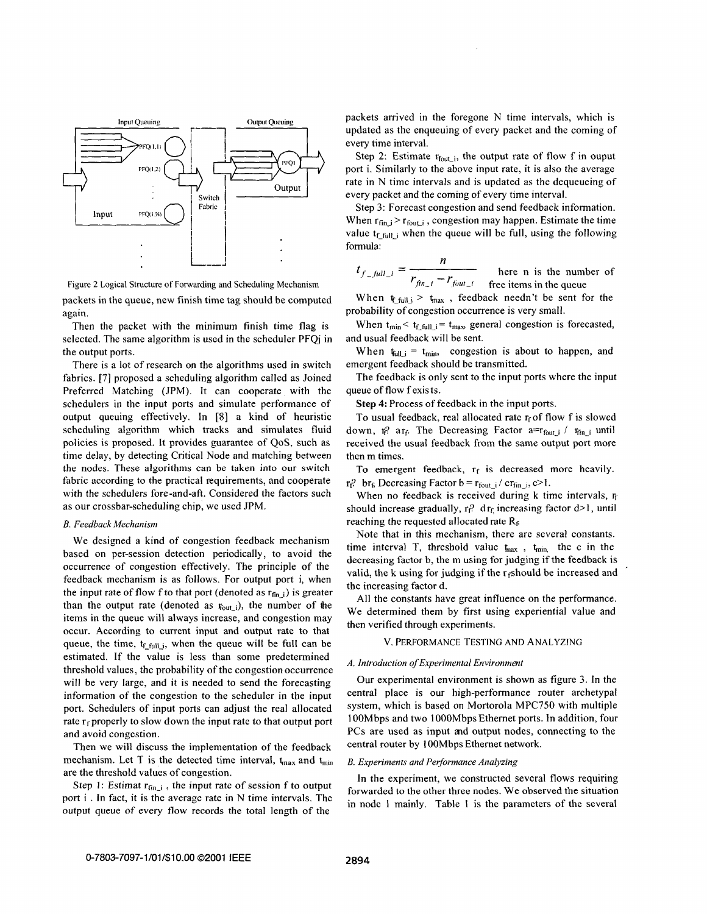<span id="page-2-0"></span>

Figure 2 Logical Structure of Forwarding and Scheduling Mechanism

packets in the queue, new finish time tag should be computed again.

Then the packet with the minimum finish time flag is selected. The same algorithm is used in the scheduler PFQ iin the output ports.

There is a lot of research on the algorithms used in switch fabrics. [7] proposed a scheduling algorithm called as Joined Preferred Matching (JPM). It can cooperate with the schedulers in the input ports and simulate performance of output queuing effectively. In [8] a kind of heuristic scheduling algorithm which tracks and simulates fluid policies is proposed. It provides guarantee of QoS, such as time delay, by detecting Critical Node and matching between the nodes. These algorithms can be taken into **our** switch fabric according to the practical requirements, and cooperate with the schedulers fore-and-aft. Considered the factors such as **our** crossbar-scheduling chip, we used JPM.

# *B. Feedbach Mechanisin*

We designed a kind of congestion feedback mechanism based on per-session detection periodically, to avoid the occurrence of congestion effectively. The principle of the feedback mechanism is as follows. For output port i, when the input rate of flow f to that port (denoted as  $r_{fin,i}$ ) is greater than the output rate (denoted as  $\mathbf{F}_{out}$ ), the number of the items in the queue will always increase, and congestion may occur. According to current input and output rate to that queue, the time,  $t_{f_{\text{full}}j}$ , when the queue will be full can be estimated. If the value is less than some predetermined threshold values, the probability of the congestion occurrence will be very large, and it is needed to send the forecasting information of the congestion to the scheduler in the input port. Schedulers of input ports can adjust the real allocated rate  $r_f$  properly to slow down the input rate to that output port and avoid congestion.

Then we will discuss the implementation of the feedback mechanism. Let T is the detected time interval,  $t_{max}$  and  $t_{min}$ are the threshold values of congestion.

Step 1: Estimat  $r_{fin,i}$ , the input rate of session f to output port i . In fact, it is the average rate in N time intervals. The output queue of every flow records the total length of the

packets arrived in the foregone N time intervals, which is updated as the enqueuing of every packet and the coming of every time interval.

Step 2: Estimate  $r_{\text{fout}_i}$ , the output rate of flow f in ouput port i. Similarly to the above input rate, it is also the average rate in N time intervals and is updated as the dequeueing of every packet and the coming of every time interval.

Step 3: Forecast congestion and send feedback information. When  $r_{fin,j} > r_{fout,j}$ , congestion may happen. Estimate the time value  $t_{\text{full}}$  i when the queue will be full, using the following formula:

$$
=
$$

 $t_{f_f_{i}} = \frac{n}{r_{\text{fin}_i} - r_{\text{four}_i}}$  here n is the number of free items in the queue

When  $t_{full} > t_{max}$ , feedback needn't be sent for the probability of congestion occurrence is very small.

When  $t_{min} < t_{f_{\text{full}}-i} = t_{max}$  general congestion is forecasted, and usual feedback will be sent.

When  $t_{\text{full}} = t_{\text{min}}$ , congestion is about to happen, and emergent feedback should be transmitted.

The feedback is only sent to the input ports where the input queue of flow f exis ts.

**Step 4:** Process of feedback in the input ports.

To usual feedback, real allocated rate  $r_f$  of flow f is slowed down, r<sub>i</sub>? ar<sub>f</sub>. The Decreasing Factor a= $r_{\text{fout,i}}$  /  $r_{\text{fin,i}}$  until received the usual feedback from the same output port more then m times.

To emergent feedback,  $r_f$  is decreased more heavily.  $r_f$ ? br<sub>6</sub> Decreasing Factor b =  $r_{\text{fout}_i}$  / cr<sub>fin<sub>-</sub>i, c>1.</sub>

When no feedback is received during k time intervals,  $r_f$ should increase gradually,  $r_f$ ? dr<sub>f</sub> increasing factor  $d>1$ , until reaching the requested allocated rate  $R_f$ 

Note that in this mechanism, there are several constants. time interval T, threshold value  $t_{\text{max}}$ ,  $t_{\text{min}}$  the c in the decreasing factor b, the m using for judging if the feedback is valid, the k using for judging if the  $r_f$ should be increased and the increasing factor d.

All the constants have great influence on the performance. We determined them by first using experiential value and then verified through experiments.

# v. PERFORMANCE TESTING AND ANALYZING

### *A. Introduction of Experimental Environment*

Our experimental environment is shown as [figure 3.](#page-3-0) In the central place is our high-performance router archetypal system, which is based on Mortorola MPC750 with multiple 1 OOMbps and two 1 OOOMbps Ethernet ports. In addition, four PCs are used as input and output nodes, connecting to the central router by lOOMbps Ethernet network.

# *B. Experiments and Performance Analyzing*

In the experiment, we constructed several flows requiring forwarded to the other three nodes. We observed the situation in node 1 mainly. Table 1 is the parameters of the several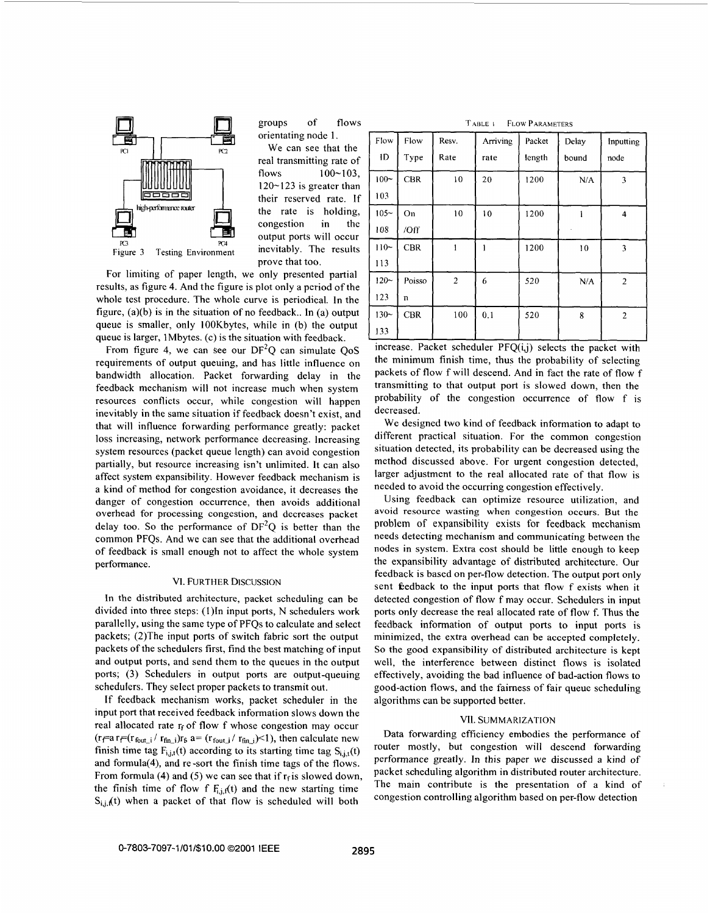<span id="page-3-0"></span>

groups of flows orientating node 1.

We can see that the real transmitting rate of flows 100-103, **120-123** is greater than their reserved rate. If the rate is holding, congestion in the output ports will occur prove that too. Figure 3 Testing Environment inevitably. The results

For limiting of paper length, we only presented partial results, as [figure 4.](#page-4-0) And the figure is plot only a period of the whole test procedure. The whole curve is periodical. In the figure, (a)(b) is in the situation of no feedback.. In (a) output queue **is** smaller, only IOOKbytes, while in (b) the output queue is larger, 1 Mbytes. (c) is the situation with feedback.

From figure 4, we can see our DF<sup>2</sup>Q can simulate OoS requirements of output queuing, and has little influence on bandwidth allocation. Packet forwarding delay in the feedback mechanism will not increase much when system resources conflicts occur, while congestion will happen inevitably in the same situation if feedback doesn't exist, and that will influence forwarding performance greatly: packet **loss** increasing, network performance decreasing. Increasing system resources (packet queue length) can avoid congestion partially, but resource increasing isn't unlimited. It can also affect system expansibility. However feedback mechanism is a kind of method for congestion avoidance, it decreases the danger of congestion occurrence, then avoids additional overhead for processing congestion, and decreases packet delay too. So the performance of  $DF<sup>2</sup>O$  is better than the common PFQs. And we can see that the additional overhead of feedback **is** small enough not to affect the whole system performance.

# **VI. FURTHER DISCUSSION**

In the distributed architecture, packet scheduling can be divided into three steps: (1)In input ports, N schedulers work parallelly, using the same type of PFQs to calculate and select packets; (2)The input ports of switch fabric sort the output packets of the schedulers first, find the best matching of input and output ports, and send them to the queues in the output ports; **(3)** Schedulers in output ports are output-queuing schedulers. They select proper packets to transmit out.

If feedback mechanism works, packet scheduler in the input port that received feedback information slows down the real allocated rate  $r_f$  of flow f whose congestion may occur  $(r_f = a r_f = (r_{fout_i}/ r_{fin_i})r_f$  a=  $(r_{fout_i}/ r_{fin_i})$  /  $r_{fin_i})$  then calculate new finish time tag  $F_{i,j,t}(t)$  according to its starting time tag  $S_{i,i,t}(t)$ and formula(4), and re -sort the finish time tags of the flows. From formula (4) and (5) we can see that if  $r_f$  is slowed down, the finish time of flow f  $F_{i,j}(t)$  and the new starting time  $S_{i,j,k}(t)$  when a packet of that flow is scheduled will both

TABLE 1 **FLOW PARAMETERS** 

| Flow    | Flow       | Resv.          | Arriving | Packet | Delay | Inputting      |
|---------|------------|----------------|----------|--------|-------|----------------|
| ID      | Type       | Rate           | rate     | length | bound | node           |
| $100 -$ | <b>CBR</b> | 10             | 20       | 1200   | N/A   | 3              |
| 103     |            |                |          |        |       |                |
| $105 -$ | On         | 10             | 10       | 1200   |       | 4              |
| 108     | /Off       |                |          |        |       |                |
| $110-$  | <b>CBR</b> |                |          | 1200   | 10    | 3              |
| 113     |            |                |          |        |       |                |
| $120 -$ | Poisso     | $\overline{2}$ | 6        | 520    | N/A   | $\overline{2}$ |
| 123     | n          |                |          |        |       |                |
| $130 -$ | <b>CBR</b> | 100            | 0.1      | 520    | 8     | $\overline{2}$ |
| 133     |            |                |          |        |       |                |

increase. Packet scheduler PFO(i,j) selects the packet with the minimum finish time, thus the probability of selecting packets of flow f will descend. And in fact the rate of flow f transmitting to that output port is slowed down, then the probability of the congestion occurrence of flow f is decreased.

We designed two kind of feedback information **to** adapt to different practical situation. For the common congestion situation detected, its probability can be decreased using the method discussed above. For urgent congestion detected, larger adjustment to the real allocated rate of that flow is needed to avoid the occurring congestion effectively.

Using feedback can optimize resource utilization, and avoid resource wasting when congestion occurs. But the problem of expansibility exists for feedback mechanism needs detecting mechanism and communicating between the nodes in system. Extra cost should be little enough to keep the expansibility advantage of distributed architecture. Our feedback is based on per-flow detection. The output port only sent feedback to the input ports that flow f exists when it detected congestion of flow f may occur. Schedulers in input ports only decrease the real allocated rate of flow f. Thus the feedback information of output ports to input ports is minimized, the extra overhead can be accepted completely. *So* the good expansibility of distributed architecture is kept well, the interference between distinct flows is isolated effectively, avoiding the bad influence of bad-action flows to good-action flows, and the fairness of fair queue scheduling algorithms can be supported better.

#### **nI.** SUMMARIZATION

Data forwarding efficiency embodies the performance of router mostly, but congestion will descend forwarding performance greatly. In this paper we discussed a kind of packet scheduling algorithm in distributed router architecture. The main contribute is the presentation of a kind of congestion controlling algorithm based on per-flow detection